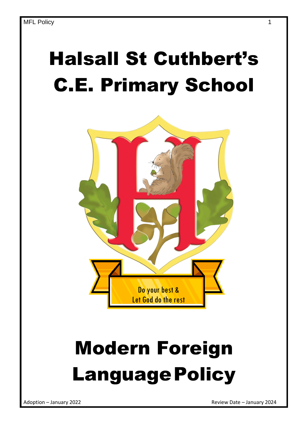# Halsall St Cuthbert's C.E. Primary School



# Modern Foreign LanguagePolicy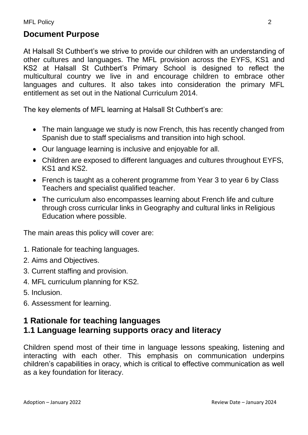#### **Document Purpose**

At Halsall St Cuthbert's we strive to provide our children with an understanding of other cultures and languages. The MFL provision across the EYFS, KS1 and KS2 at Halsall St Cuthbert's Primary School is designed to reflect the multicultural country we live in and encourage children to embrace other languages and cultures. It also takes into consideration the primary MFL entitlement as set out in the National Curriculum 2014.

The key elements of MFL learning at Halsall St Cuthbert's are:

- The main language we study is now French, this has recently changed from Spanish due to staff specialisms and transition into high school.
- Our language learning is inclusive and enjoyable for all.
- Children are exposed to different languages and cultures throughout EYFS, KS1 and KS2.
- French is taught as a coherent programme from Year 3 to year 6 by Class Teachers and specialist qualified teacher.
- The curriculum also encompasses learning about French life and culture through cross curricular links in Geography and cultural links in Religious Education where possible.

The main areas this policy will cover are:

- 1. Rationale for teaching languages.
- 2. Aims and Objectives.
- 3. Current staffing and provision.
- 4. MFL curriculum planning for KS2.
- 5. Inclusion.
- 6. Assessment for learning.

#### **1 Rationale for teaching languages 1.1 Language learning supports oracy and literacy**

Children spend most of their time in language lessons speaking, listening and interacting with each other. This emphasis on communication underpins children's capabilities in oracy, which is critical to effective communication as well as a key foundation for literacy.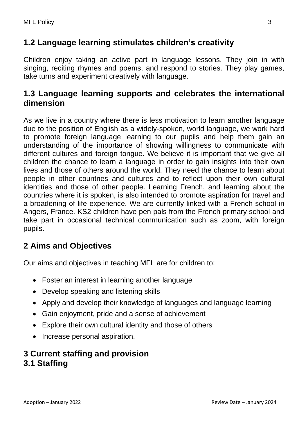# **1.2 Language learning stimulates children's creativity**

Children enjoy taking an active part in language lessons. They join in with singing, reciting rhymes and poems, and respond to stories. They play games, take turns and experiment creatively with language.

#### **1.3 Language learning supports and celebrates the international dimension**

As we live in a country where there is less motivation to learn another language due to the position of English as a widely-spoken, world language, we work hard to promote foreign language learning to our pupils and help them gain an understanding of the importance of showing willingness to communicate with different cultures and foreign tongue. We believe it is important that we give all children the chance to learn a language in order to gain insights into their own lives and those of others around the world. They need the chance to learn about people in other countries and cultures and to reflect upon their own cultural identities and those of other people. Learning French, and learning about the countries where it is spoken, is also intended to promote aspiration for travel and a broadening of life experience. We are currently linked with a French school in Angers, France. KS2 children have pen pals from the French primary school and take part in occasional technical communication such as zoom, with foreign pupils.

#### **2 Aims and Objectives**

Our aims and objectives in teaching MFL are for children to:

- Foster an interest in learning another language
- Develop speaking and listening skills
- Apply and develop their knowledge of languages and language learning
- Gain enjoyment, pride and a sense of achievement
- Explore their own cultural identity and those of others
- Increase personal aspiration.

### **3 Current staffing and provision 3.1 Staffing**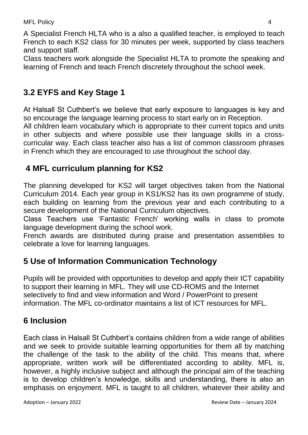A Specialist French HLTA who is a also a qualified teacher, is employed to teach French to each KS2 class for 30 minutes per week, supported by class teachers and support staff.

Class teachers work alongside the Specialist HLTA to promote the speaking and learning of French and teach French discretely throughout the school week.

#### **3.2 EYFS and Key Stage 1**

At Halsall St Cuthbert's we believe that early exposure to languages is key and so encourage the language learning process to start early on in Reception.

All children learn vocabulary which is appropriate to their current topics and units in other subjects and where possible use their language skills in a crosscurricular way. Each class teacher also has a list of common classroom phrases in French which they are encouraged to use throughout the school day.

#### **4 MFL curriculum planning for KS2**

The planning developed for KS2 will target objectives taken from the National Curriculum 2014. Each year group in KS1/KS2 has its own programme of study, each building on learning from the previous year and each contributing to a secure development of the National Curriculum objectives.

Class Teachers use 'Fantastic French' working walls in class to promote language development during the school work.

French awards are distributed during praise and presentation assemblies to celebrate a love for learning languages.

#### **5 Use of Information Communication Technology**

Pupils will be provided with opportunities to develop and apply their ICT capability to support their learning in MFL. They will use CD-ROMS and the Internet selectively to find and view information and Word / PowerPoint to present information. The MFL co-ordinator maintains a list of ICT resources for MFL.

#### **6 Inclusion**

Each class in Halsall St Cuthbert's contains children from a wide range of abilities and we seek to provide suitable learning opportunities for them all by matching the challenge of the task to the ability of the child. This means that, where appropriate, written work will be differentiated according to ability. MFL is, however, a highly inclusive subject and although the principal aim of the teaching is to develop children's knowledge, skills and understanding, there is also an emphasis on enjoyment. MFL is taught to all children, whatever their ability and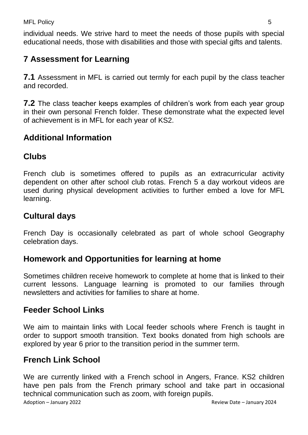individual needs. We strive hard to meet the needs of those pupils with special educational needs, those with disabilities and those with special gifts and talents.

# **7 Assessment for Learning**

**7.1** Assessment in MFL is carried out termly for each pupil by the class teacher and recorded.

**7.2** The class teacher keeps examples of children's work from each year group in their own personal French folder. These demonstrate what the expected level of achievement is in MFL for each year of KS2.

#### **Additional Information**

# **Clubs**

French club is sometimes offered to pupils as an extracurricular activity dependent on other after school club rotas. French 5 a day workout videos are used during physical development activities to further embed a love for MFL learning.

# **Cultural days**

French Day is occasionally celebrated as part of whole school Geography celebration days.

#### **Homework and Opportunities for learning at home**

Sometimes children receive homework to complete at home that is linked to their current lessons. Language learning is promoted to our families through newsletters and activities for families to share at home.

#### **Feeder School Links**

We aim to maintain links with Local feeder schools where French is taught in order to support smooth transition. Text books donated from high schools are explored by year 6 prior to the transition period in the summer term.

# **French Link School**

Adoption – January 2022 Review Date – January 2024 We are currently linked with a French school in Angers, France. KS2 children have pen pals from the French primary school and take part in occasional technical communication such as zoom, with foreign pupils.